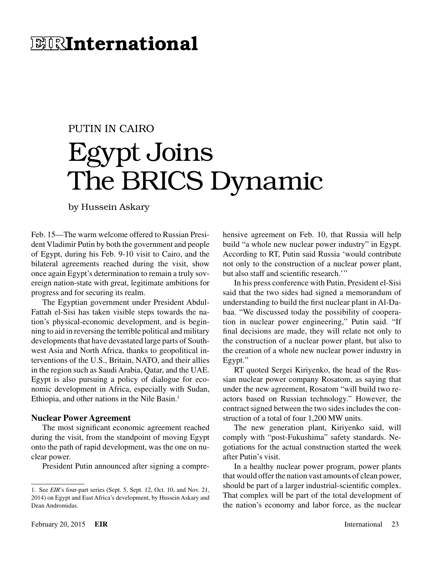# **ELINTEE ENGLICERS**

# PUTIN IN CAIRO Egypt Joins The BRICS Dynamic

by Hussein Askary

Feb. 15—The warm welcome offered to Russian President Vladimir Putin by both the government and people of Egypt, during his Feb. 9-10 visit to Cairo, and the bilateral agreements reached during the visit, show once again Egypt's determination to remain a truly sovereign nation-state with great, legitimate ambitions for progress and for securing its realm.

The Egyptian government under President Abdul-Fattah el-Sisi has taken visible steps towards the nation's physical-economic development, and is beginning to aid in reversing the terrible political and military developments that have devastated large parts of Southwest Asia and North Africa, thanks to geopolitical interventions of the U.S., Britain, NATO, and their allies in the region such as Saudi Arabia, Qatar, and the UAE. Egypt is also pursuing a policy of dialogue for economic development in Africa, especially with Sudan, Ethiopia, and other nations in the Nile Basin.<sup>1</sup>

#### **Nuclear Power Agreement**

The most significant economic agreement reached during the visit, from the standpoint of moving Egypt onto the path of rapid development, was the one on nuclear power.

President Putin announced after signing a compre-

hensive agreement on Feb. 10, that Russia will help build "a whole new nuclear power industry" in Egypt. According to RT, Putin said Russia 'would contribute not only to the construction of a nuclear power plant, but also staff and scientific research.'"

In his press conference with Putin, President el-Sisi said that the two sides had signed a memorandum of understanding to build the first nuclear plant in Al-Dabaa. "We discussed today the possibility of cooperation in nuclear power engineering," Putin said. "If final decisions are made, they will relate not only to the construction of a nuclear power plant, but also to the creation of a whole new nuclear power industry in Egypt."

RT quoted Sergei Kiriyenko, the head of the Russian nuclear power company Rosatom, as saying that under the new agreement, Rosatom "will build two reactors based on Russian technology." However, the contract signed between the two sides includes the construction of a total of four 1,200 MW units.

The new generation plant, Kiriyenko said, will comply with "post-Fukushima" safety standards. Negotiations for the actual construction started the week after Putin's visit.

In a healthy nuclear power program, power plants that would offer the nation vast amounts of clean power, should be part of a larger industrial-scientific complex. That complex will be part of the total development of the nation's economy and labor force, as the nuclear

<sup>1.</sup> See *EIR*'s four-part series (Sept. 5, Sept. 12, Oct. 10, and Nov. 21, 2014) on Egypt and East Africa's development, by Hussein Askary and Dean Andromidas.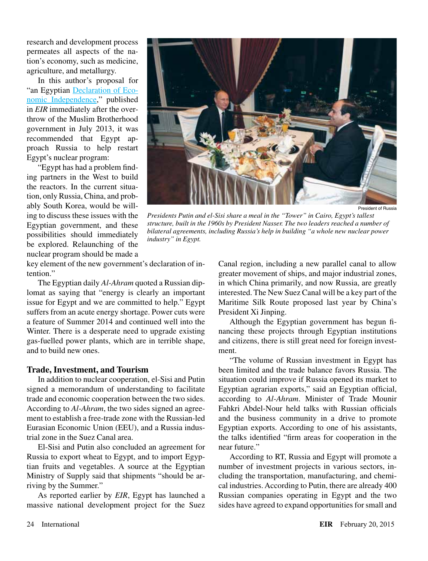research and development process permeates all aspects of the nation's economy, such as medicine, agriculture, and metallurgy.

In this author's proposal for "an Egyptian [Declaration of Eco](http://www.larouchepub.com/other/2013/4029egypt_decl_indep.html)[nomic Independence](http://www.larouchepub.com/other/2013/4029egypt_decl_indep.html)," published in *EIR* immediately after the overthrow of the Muslim Brotherhood government in July 2013, it was recommended that Egypt approach Russia to help restart Egypt's nuclear program:

"Egypt has had a problem finding partners in the West to build the reactors. In the current situation, only Russia, China, and probably South Korea, would be willing to discuss these issues with the Egyptian government, and these possibilities should immediately be explored. Relaunching of the nuclear program should be made a



*Presidents Putin and el-Sisi share a meal in the "Tower" in Cairo, Egypt's tallest structure, built in the 1960s by President Nasser. The two leaders reached a number of bilateral agreements, including Russia's help in building "a whole new nuclear power industry" in Egypt.*

key element of the new government's declaration of intention."

The Egyptian daily *Al-Ahram* quoted a Russian diplomat as saying that "energy is clearly an important issue for Egypt and we are committed to help." Egypt suffers from an acute energy shortage. Power cuts were a feature of Summer 2014 and continued well into the Winter. There is a desperate need to upgrade existing gas-fuelled power plants, which are in terrible shape, and to build new ones.

## **Trade, Investment, and Tourism**

In addition to nuclear cooperation, el-Sisi and Putin signed a memorandum of understanding to facilitate trade and economic cooperation between the two sides. According to *Al-Ahram*, the two sides signed an agreement to establish a free-trade zone with the Russian-led Eurasian Economic Union (EEU), and a Russia industrial zone in the Suez Canal area.

El-Sisi and Putin also concluded an agreement for Russia to export wheat to Egypt, and to import Egyptian fruits and vegetables. A source at the Egyptian Ministry of Supply said that shipments "should be arriving by the Summer."

As reported earlier by *EIR*, Egypt has launched a massive national development project for the Suez Canal region, including a new parallel canal to allow greater movement of ships, and major industrial zones, in which China primarily, and now Russia, are greatly interested. The New Suez Canal will be a key part of the Maritime Silk Route proposed last year by China's President Xi Jinping.

Although the Egyptian government has begun financing these projects through Egyptian institutions and citizens, there is still great need for foreign investment.

"The volume of Russian investment in Egypt has been limited and the trade balance favors Russia. The situation could improve if Russia opened its market to Egyptian agrarian exports," said an Egyptian official, according to *Al-Ahram*. Minister of Trade Mounir Fahkri Abdel-Nour held talks with Russian officials and the business community in a drive to promote Egyptian exports. According to one of his assistants, the talks identified "firm areas for cooperation in the near future."

According to RT, Russia and Egypt will promote a number of investment projects in various sectors, including the transportation, manufacturing, and chemical industries. According to Putin, there are already 400 Russian companies operating in Egypt and the two sides have agreed to expand opportunities for small and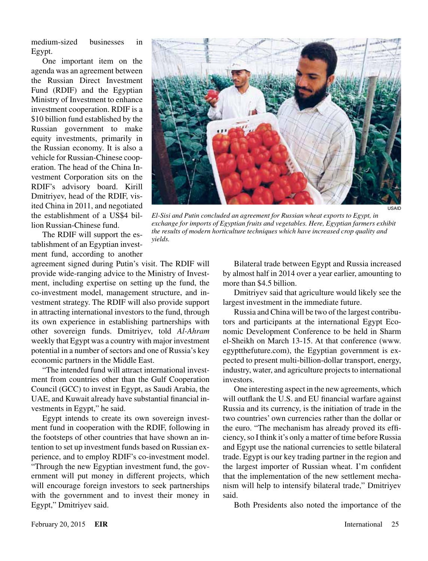medium-sized businesses in Egypt.

One important item on the agenda was an agreement between the Russian Direct Investment Fund (RDIF) and the Egyptian Ministry of Investment to enhance investment cooperation. RDIF is a \$10 billion fund established by the Russian government to make equity investments, primarily in the Russian economy. It is also a vehicle for Russian-Chinese cooperation. The head of the China Investment Corporation sits on the RDIF's advisory board. Kirill Dmitriyev, head of the RDIF, visited China in 2011, and negotiated the establishment of a US\$4 billion Russian-Chinese fund.

The RDIF will support the establishment of an Egyptian investment fund, according to another

agreement signed during Putin's visit. The RDIF will provide wide-ranging advice to the Ministry of Investment, including expertise on setting up the fund, the co-investment model, management structure, and investment strategy. The RDIF will also provide support in attracting international investors to the fund, through its own experience in establishing partnerships with other sovereign funds. Dmitriyev, told *Al-Ahram* weekly that Egypt was a country with major investment potential in a number of sectors and one of Russia's key economic partners in the Middle East.

"The intended fund will attract international investment from countries other than the Gulf Cooperation Council (GCC) to invest in Egypt, as Saudi Arabia, the UAE, and Kuwait already have substantial financial investments in Egypt," he said.

Egypt intends to create its own sovereign investment fund in cooperation with the RDIF, following in the footsteps of other countries that have shown an intention to set up investment funds based on Russian experience, and to employ RDIF's co-investment model. "Through the new Egyptian investment fund, the government will put money in different projects, which will encourage foreign investors to seek partnerships with the government and to invest their money in Egypt," Dmitriyev said.



Dmitriyev said that agriculture would likely see the largest investment in the immediate future.

Russia and China will be two of the largest contributors and participants at the international Egypt Economic Development Conference to be held in Sharm el-Sheikh on March 13-15. At that conference (www. egyptthefuture.com), the Egyptian government is expected to present multi-billion-dollar transport, energy, industry, water, and agriculture projects to international investors.

One interesting aspect in the new agreements, which will outflank the U.S. and EU financial warfare against Russia and its currency, is the initiation of trade in the two countries' own currencies rather than the dollar or the euro. "The mechanism has already proved its efficiency, so I think it's only a matter of time before Russia and Egypt use the national currencies to settle bilateral trade. Egypt is our key trading partner in the region and the largest importer of Russian wheat. I'm confident that the implementation of the new settlement mechanism will help to intensify bilateral trade," Dmitriyev said.

Both Presidents also noted the importance of the



*El-Sisi and Putin concluded an agreement for Russian wheat exports to Egypt, in exchange for imports of Egyptian fruits and vegetables. Here, Egyptian farmers exhibit the results of modern horticulture techniques which have increased crop quality and yields.*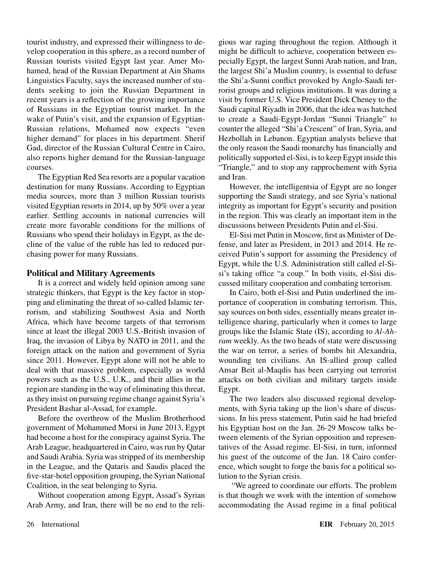tourist industry, and expressed their willingness to develop cooperation in this sphere, as a record number of Russian tourists visited Egypt last year. Amer Mohamed, head of the Russian Department at Ain Shams Linguistics Faculty, says the increased number of students seeking to join the Russian Department in recent years is a reflection of the growing importance of Russians in the Egyptian tourist market. In the wake of Putin's visit, and the expansion of Egyptian-Russian relations, Mohamed now expects "even higher demand" for places in his department. Sherif Gad, director of the Russian Cultural Centre in Cairo, also reports higher demand for the Russian-language courses.

The Egyptian Red Sea resorts are a popular vacation destination for many Russians. According to Egyptian media sources, more than 3 million Russian tourists visited Egyptian resorts in 2014, up by 50% over a year earlier. Settling accounts in national currencies will create more favorable conditions for the millions of Russians who spend their holidays in Egypt, as the decline of the value of the ruble has led to reduced purchasing power for many Russians.

## **Political and Military Agreements**

It is a correct and widely held opinion among sane strategic thinkers, that Egypt is the key factor in stopping and eliminating the threat of so-called Islamic terrorism, and stabilizing Southwest Asia and North Africa, which have become targets of that terrorism since at least the illegal 2003 U.S.-British invasion of Iraq, the invasion of Libya by NATO in 2011, and the foreign attack on the nation and government of Syria since 2011. However, Egypt alone will not be able to deal with that massive problem, especially as world powers such as the U.S., U.K., and their allies in the region are standing in the way of eliminating this threat, as they insist on pursuing regime change against Syria's President Bashar al-Assad, for example.

Before the overthrow of the Muslim Brotherhood government of Mohammed Morsi in June 2013, Egypt had become a host for the conspiracy against Syria. The Arab League, headquartered in Cairo, was run by Qatar and Saudi Arabia. Syria was stripped of its membership in the League, and the Qataris and Saudis placed the five-star-hotel opposition grouping, the Syrian National Coalition, in the seat belonging to Syria.

Without cooperation among Egypt, Assad's Syrian Arab Army, and Iran, there will be no end to the religious war raging throughout the region. Although it might be difficult to achieve, cooperation between especially Egypt, the largest Sunni Arab nation, and Iran, the largest Shi'a Muslim country, is essential to defuse the Shi'a-Sunni conflict provoked by Anglo-Saudi terrorist groups and religious institutions. It was during a visit by former U.S. Vice President Dick Cheney to the Saudi capital Riyadh in 2006, that the idea was hatched to create a Saudi-Egypt-Jordan "Sunni Triangle" to counter the alleged "Shi'a Crescent" of Iran, Syria, and Hezbollah in Lebanon. Egyptian analysts believe that the only reason the Saudi monarchy has financially and politically supported el-Sisi, is to keep Egypt inside this "Triangle," and to stop any rapprochement with Syria and Iran.

However, the intelligentsia of Egypt are no longer supporting the Saudi strategy, and see Syria's national integrity as important for Egypt's security and position in the region. This was clearly an important item in the discussions between Presidents Putin and el-Sisi.

El-Sisi met Putin in Moscow, first as Minister of Defense, and later as President, in 2013 and 2014. He received Putin's support for assuming the Presidency of Egypt, while the U.S. Administration still called el-Sisi's taking office "a coup." In both visits, el-Sisi discussed military cooperation and combating terrorism.

In Cairo, both el-Sisi and Putin underlined the importance of cooperation in combating terrorism. This, say sources on both sides, essentially means greater intelligence sharing, particularly when it comes to large groups like the Islamic State (IS), according to *Al-Ahram* weekly. As the two heads of state were discussing the war on terror, a series of bombs hit Alexandria, wounding ten civilians. An IS-allied group called Ansar Beit al-Maqdis has been carrying out terrorist attacks on both civilian and military targets inside Egypt.

The two leaders also discussed regional developments, with Syria taking up the lion's share of discussions. In his press statement, Putin said he had briefed his Egyptian host on the Jan. 26-29 Moscow talks between elements of the Syrian opposition and representatives of the Assad regime. El-Sisi, in turn, informed his guest of the outcome of the Jan. 18 Cairo conference, which sought to forge the basis for a political solution to the Syrian crisis.

 "We agreed to coordinate our efforts. The problem is that though we work with the intention of somehow accommodating the Assad regime in a final political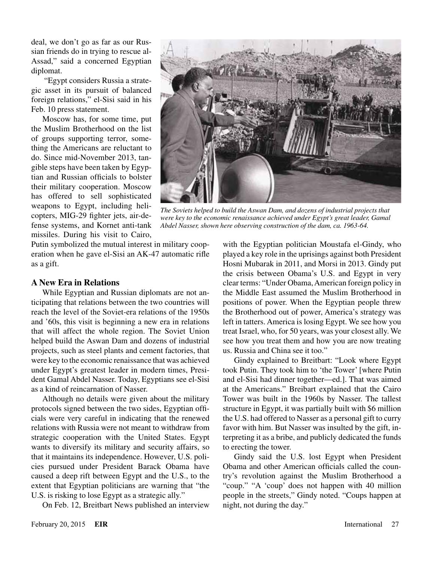deal, we don't go as far as our Russian friends do in trying to rescue al-Assad," said a concerned Egyptian diplomat.

 "Egypt considers Russia a strategic asset in its pursuit of balanced foreign relations," el-Sisi said in his Feb. 10 press statement.

Moscow has, for some time, put the Muslim Brotherhood on the list of groups supporting terror, something the Americans are reluctant to do. Since mid-November 2013, tangible steps have been taken by Egyptian and Russian officials to bolster their military cooperation. Moscow has offered to sell sophisticated weapons to Egypt, including helicopters, MIG-29 fighter jets, air-defense systems, and Kornet anti-tank missiles. During his visit to Cairo,



*The Soviets helped to build the Aswan Dam, and dozens of industrial projects that were key to the economic renaissance achieved under Egypt's great leader, Gamal Abdel Nasser, shown here observing construction of the dam, ca. 1963-64.*

Putin symbolized the mutual interest in military cooperation when he gave el-Sisi an AK-47 automatic rifle as a gift.

#### **A New Era in Relations**

While Egyptian and Russian diplomats are not anticipating that relations between the two countries will reach the level of the Soviet-era relations of the 1950s and '60s, this visit is beginning a new era in relations that will affect the whole region. The Soviet Union helped build the Aswan Dam and dozens of industrial projects, such as steel plants and cement factories, that were key to the economic renaissance that was achieved under Egypt's greatest leader in modern times, President Gamal Abdel Nasser. Today, Egyptians see el-Sisi as a kind of reincarnation of Nasser.

Although no details were given about the military protocols signed between the two sides, Egyptian officials were very careful in indicating that the renewed relations with Russia were not meant to withdraw from strategic cooperation with the United States. Egypt wants to diversify its military and security affairs, so that it maintains its independence. However, U.S. policies pursued under President Barack Obama have caused a deep rift between Egypt and the U.S., to the extent that Egyptian politicians are warning that "the U.S. is risking to lose Egypt as a strategic ally."

On Feb. 12, Breitbart News published an interview

with the Egyptian politician Moustafa el-Gindy, who played a key role in the uprisings against both President Hosni Mubarak in 2011, and Morsi in 2013. Gindy put the crisis between Obama's U.S. and Egypt in very clear terms: "Under Obama, American foreign policy in the Middle East assumed the Muslim Brotherhood in positions of power. When the Egyptian people threw the Brotherhood out of power, America's strategy was left in tatters. America is losing Egypt. We see how you treat Israel, who, for 50 years, was your closest ally. We see how you treat them and how you are now treating us. Russia and China see it too."

Gindy explained to Breitbart: "Look where Egypt took Putin. They took him to 'the Tower' [where Putin and el-Sisi had dinner together—ed.]. That was aimed at the Americans." Breibart explained that the Cairo Tower was built in the 1960s by Nasser. The tallest structure in Egypt, it was partially built with \$6 million the U.S. had offered to Nasser as a personal gift to curry favor with him. But Nasser was insulted by the gift, interpreting it as a bribe, and publicly dedicated the funds to erecting the tower.

Gindy said the U.S. lost Egypt when President Obama and other American officials called the country's revolution against the Muslim Brotherhood a "coup." "A 'coup' does not happen with 40 million people in the streets," Gindy noted. "Coups happen at night, not during the day."